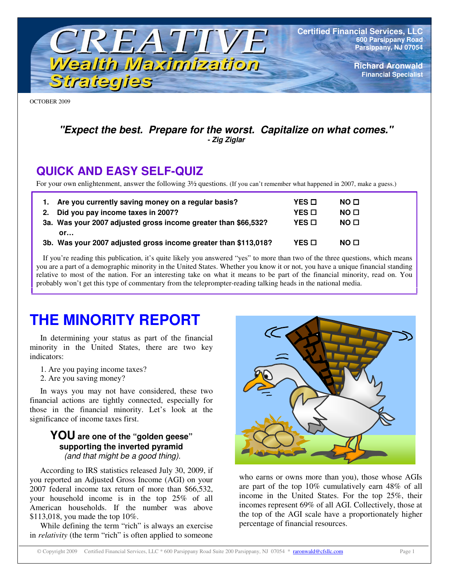

OCTOBER 2009

## *"Expect the best. Prepare for the worst. Capitalize on what comes." - Zig Ziglar*

# **QUICK AND EASY SELF-QUIZ**

For your own enlightenment, answer the following  $3\frac{1}{2}$  questions. (If you can't remember what happened in 2007, make a guess.)

| Are you currently saving money on a regular basis?                    | YES O | NO □             |
|-----------------------------------------------------------------------|-------|------------------|
| 2. Did you pay income taxes in 2007?                                  | YES O | NO <sub>0</sub>  |
| 3a. Was your 2007 adjusted gross income greater than \$66,532?        | YES O | NO <sub>II</sub> |
| or<br>3b. Was your 2007 adjusted gross income greater than \$113,018? | YES O | NO <sub>1</sub>  |

If you're reading this publication, it's quite likely you answered "yes" to more than two of the three questions, which means you are a part of a demographic minority in the United States. Whether you know it or not, you have a unique financial standing relative to most of the nation. For an interesting take on what it means to be part of the financial minority, read on. You probably won't get this type of commentary from the teleprompter-reading talking heads in the national media.

# **THE MINORITY REPORT**

In determining your status as part of the financial minority in the United States, there are two key indicators:

- 1. Are you paying income taxes?
- 2. Are you saving money?

In ways you may not have considered, these two financial actions are tightly connected, especially for those in the financial minority. Let's look at the significance of income taxes first.

## **YOU are one of the "golden geese" supporting the inverted pyramid** *(and that might be a good thing).*

According to IRS statistics released July 30, 2009, if you reported an Adjusted Gross Income (AGI) on your 2007 federal income tax return of more than \$66,532, your household income is in the top 25% of all American households. If the number was above \$113,018, you made the top 10%.

While defining the term "rich" is always an exercise in *relativity* (the term "rich" is often applied to someone



who earns or owns more than you), those whose AGIs are part of the top 10% cumulatively earn 48% of all income in the United States. For the top 25%, their incomes represent 69% of all AGI. Collectively, those at the top of the AGI scale have a proportionately higher percentage of financial resources.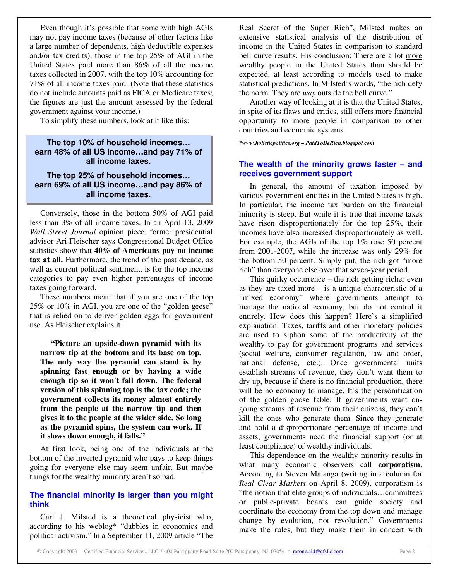Even though it's possible that some with high AGIs may not pay income taxes (because of other factors like a large number of dependents, high deductible expenses and/or tax credits), those in the top 25% of AGI in the United States paid more than 86% of all the income taxes collected in 2007, with the top 10% accounting for 71% of all income taxes paid. (Note that these statistics do not include amounts paid as FICA or Medicare taxes; the figures are just the amount assessed by the federal government against your income.)

To simplify these numbers, look at it like this:

#### **The top 10% of household incomes… earn 48% of all US income…and pay 71% of all income taxes.**

**The top 25% of household incomes… earn 69% of all US income…and pay 86% of all income taxes.**

Conversely, those in the bottom 50% of AGI paid less than 3% of all income taxes. In an April 13, 2009 *Wall Street Journal* opinion piece, former presidential advisor Ari Fleischer says Congressional Budget Office statistics show that **40% of Americans pay no income tax at all.** Furthermore, the trend of the past decade, as well as current political sentiment, is for the top income categories to pay even higher percentages of income taxes going forward.

These numbers mean that if you are one of the top 25% or 10% in AGI, you are one of the "golden geese" that is relied on to deliver golden eggs for government use. As Fleischer explains it,

**"Picture an upside-down pyramid with its narrow tip at the bottom and its base on top. The only way the pyramid can stand is by spinning fast enough or by having a wide enough tip so it won't fall down. The federal version of this spinning top is the tax code; the government collects its money almost entirely from the people at the narrow tip and then gives it to the people at the wider side. So long as the pyramid spins, the system can work. If it slows down enough, it falls."**

At first look, being one of the individuals at the bottom of the inverted pyramid who pays to keep things going for everyone else may seem unfair. But maybe things for the wealthy minority aren't so bad.

#### **The financial minority is larger than you might think**

Carl J. Milsted is a theoretical physicist who, according to his weblog\* "dabbles in economics and political activism." In a September 11, 2009 article "The

Real Secret of the Super Rich", Milsted makes an extensive statistical analysis of the distribution of income in the United States in comparison to standard bell curve results. His conclusion: There are a lot more wealthy people in the United States than should be expected, at least according to models used to make statistical predictions. In Milsted's words, "the rich defy the norm. They are *way* outside the bell curve."

Another way of looking at it is that the United States, in spite of its flaws and critics, still offers more financial opportunity to more people in comparison to other countries and economic systems.

*\*www.holisticpolitics.org – PaidToBeRich.blogspot.com*

#### **The wealth of the minority grows faster – and receives government support**.

In general, the amount of taxation imposed by various government entities in the United States is high. In particular, the income tax burden on the financial minority is steep. But while it is true that income taxes have risen disproportionately for the top 25%, their incomes have also increased disproportionately as well. For example, the AGIs of the top 1% rose 50 percent from 2001-2007, while the increase was only 29% for the bottom 50 percent. Simply put, the rich got "more rich" than everyone else over that seven-year period.

This quirky occurrence – the rich getting richer even as they are taxed more – is a unique characteristic of a "mixed economy" where governments attempt to manage the national economy, but do not control it entirely. How does this happen? Here's a simplified explanation: Taxes, tariffs and other monetary policies are used to siphon some of the productivity of the wealthy to pay for government programs and services (social welfare, consumer regulation, law and order, national defense, etc.). Once governmental units establish streams of revenue, they don't want them to dry up, because if there is no financial production, there will be no economy to manage. It's the personification of the golden goose fable: If governments want ongoing streams of revenue from their citizens, they can't kill the ones who generate them. Since they generate and hold a disproportionate percentage of income and assets, governments need the financial support (or at least compliance) of wealthy individuals.

This dependence on the wealthy minority results in what many economic observers call **corporatism**. According to Steven Malanga (writing in a column for *Real Clear Markets* on April 8, 2009), corporatism is "the notion that elite groups of individuals…committees or public-private boards can guide society and coordinate the economy from the top down and manage change by evolution, not revolution." Governments make the rules, but they make them in concert with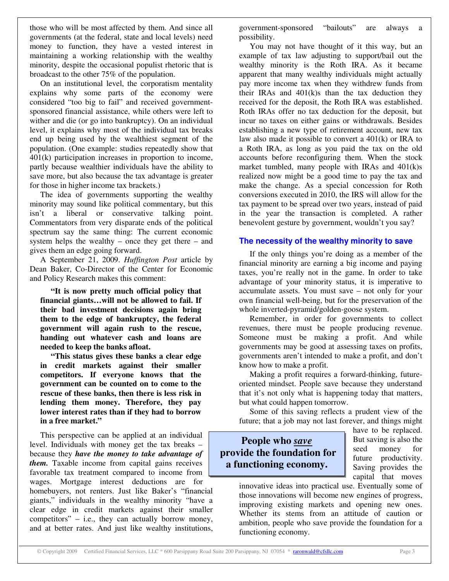those who will be most affected by them. And since all governments (at the federal, state and local levels) need money to function, they have a vested interest in maintaining a working relationship with the wealthy minority, despite the occasional populist rhetoric that is broadcast to the other 75% of the population.

On an institutional level, the corporatism mentality explains why some parts of the economy were considered "too big to fail" and received governmentsponsored financial assistance, while others were left to wither and die (or go into bankruptcy). On an individual level, it explains why most of the individual tax breaks end up being used by the wealthiest segment of the population. (One example: studies repeatedly show that 401(k) participation increases in proportion to income, partly because wealthier individuals have the ability to save more, but also because the tax advantage is greater for those in higher income tax brackets.)

The idea of governments supporting the wealthy minority may sound like political commentary, but this isn't a liberal or conservative talking point. Commentators from very disparate ends of the political spectrum say the same thing: The current economic system helps the wealthy – once they get there – and gives them an edge going forward.

A September 21, 2009. *Huffington Post* article by Dean Baker, Co-Director of the Center for Economic and Policy Research makes this comment:

**"It is now pretty much official policy that financial giants…will not be allowed to fail. If their bad investment decisions again bring them to the edge of bankruptcy, the federal government will again rush to the rescue, handing out whatever cash and loans are needed to keep the banks afloat.**

**"This status gives these banks a clear edge in credit markets against their smaller competitors. If everyone knows that the government can be counted on to come to the rescue of these banks, then there is less risk in lending them money. Therefore, they pay lower interest rates than if they had to borrow in a free market."**

This perspective can be applied at an individual level. Individuals with money get the tax breaks – because they *have the money to take advantage of them.* Taxable income from capital gains receives favorable tax treatment compared to income from wages. Mortgage interest deductions are for homebuyers, not renters. Just like Baker's "financial giants," individuals in the wealthy minority "have a clear edge in credit markets against their smaller competitors" – i.e., they can actually borrow money, and at better rates. And just like wealthy institutions,

government-sponsored "bailouts" are always a possibility.

You may not have thought of it this way, but an example of tax law adjusting to support/bail out the wealthy minority is the Roth IRA. As it became apparent that many wealthy individuals might actually pay more income tax when they withdrew funds from their IRAs and 401(k)s than the tax deduction they received for the deposit, the Roth IRA was established. Roth IRAs offer no tax deduction for the deposit, but incur no taxes on either gains or withdrawals. Besides establishing a new type of retirement account, new tax law also made it possible to convert a 401(k) or IRA to a Roth IRA, as long as you paid the tax on the old accounts before reconfiguring them. When the stock market tumbled, many people with IRAs and 401(k)s realized now might be a good time to pay the tax and make the change. As a special concession for Roth conversions executed in 2010, the IRS will allow for the tax payment to be spread over two years, instead of paid in the year the transaction is completed. A rather benevolent gesture by government, wouldn't you say?

#### **The necessity of the wealthy minority to save**

If the only things you're doing as a member of the financial minority are earning a big income and paying taxes, you're really not in the game. In order to take advantage of your minority status, it is imperative to accumulate assets. You must save – not only for your own financial well-being, but for the preservation of the whole inverted-pyramid/golden-goose system.

Remember, in order for governments to collect revenues, there must be people producing revenue. Someone must be making a profit. And while governments may be good at assessing taxes on profits, governments aren't intended to make a profit, and don't know how to make a profit.

Making a profit requires a forward-thinking, futureoriented mindset. People save because they understand that it's not only what is happening today that matters, but what could happen tomorrow.

Some of this saving reflects a prudent view of the future; that a job may not last forever, and things might

# **People who** *save* **provide the foundation for a functioning economy.**

have to be replaced. But saving is also the seed money for future productivity. Saving provides the capital that moves

innovative ideas into practical use. Eventually some of those innovations will become new engines of progress, improving existing markets and opening new ones. Whether its stems from an attitude of caution or ambition, people who save provide the foundation for a functioning economy.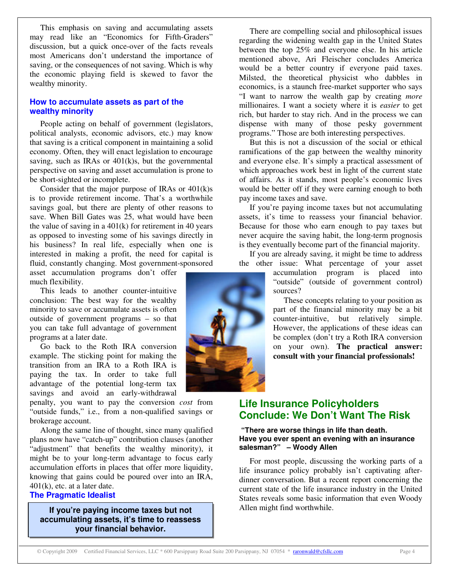This emphasis on saving and accumulating assets may read like an "Economics for Fifth-Graders" discussion, but a quick once-over of the facts reveals most Americans don't understand the importance of saving, or the consequences of not saving. Which is why the economic playing field is skewed to favor the wealthy minority.

#### **How to accumulate assets as part of the wealthy minority**

People acting on behalf of government (legislators, political analysts, economic advisors, etc.) may know that saving is a critical component in maintaining a solid economy. Often, they will enact legislation to encourage saving, such as IRAs or  $401(k)s$ , but the governmental perspective on saving and asset accumulation is prone to be short-sighted or incomplete.

Consider that the major purpose of IRAs or 401(k)s is to provide retirement income. That's a worthwhile savings goal, but there are plenty of other reasons to save. When Bill Gates was 25, what would have been the value of saving in a  $401(k)$  for retirement in 40 years as opposed to investing some of his savings directly in his business? In real life, especially when one is interested in making a profit, the need for capital is fluid, constantly changing. Most government-sponsored

asset accumulation programs don't offer much flexibility.

This leads to another counter-intuitive conclusion: The best way for the wealthy minority to save or accumulate assets is often outside of government programs – so that you can take full advantage of government programs at a later date.

Go back to the Roth IRA conversion example. The sticking point for making the transition from an IRA to a Roth IRA is paying the tax. In order to take full advantage of the potential long-term tax savings and avoid an early-withdrawal

penalty, you want to pay the conversion *cost* from "outside funds," i.e., from a non-qualified savings or brokerage account.

Along the same line of thought, since many qualified plans now have "catch-up" contribution clauses (another "adjustment" that benefits the wealthy minority), it might be to your long-term advantage to focus early accumulation efforts in places that offer more liquidity, knowing that gains could be poured over into an IRA, 401(k), etc. at a later date.

#### **The Pragmatic Idealist**

**If you're paying income taxes but not accumulating assets, it's time to reassess your financial behavior.**



There are compelling social and philosophical issues regarding the widening wealth gap in the United States between the top 25% and everyone else. In his article mentioned above, Ari Fleischer concludes America would be a better country if everyone paid taxes. Milsted, the theoretical physicist who dabbles in economics, is a staunch free-market supporter who says "I want to narrow the wealth gap by creating *more* millionaires. I want a society where it is *easier* to get rich, but harder to stay rich. And in the process we can dispense with many of those pesky government programs." Those are both interesting perspectives.

But this is not a discussion of the social or ethical ramifications of the gap between the wealthy minority and everyone else. It's simply a practical assessment of which approaches work best in light of the current state of affairs. As it stands, most people's economic lives would be better off if they were earning enough to both pay income taxes and save.

If you're paying income taxes but not accumulating assets, it's time to reassess your financial behavior. Because for those who earn enough to pay taxes but never acquire the saving habit, the long-term prognosis is they eventually become part of the financial majority.

If you are already saving, it might be time to address the other issue: What percentage of your asset

> accumulation program is placed into "outside" (outside of government control) sources?

> These concepts relating to your position as part of the financial minority may be a bit counter-intuitive, but relatively simple. However, the applications of these ideas can be complex (don't try a Roth IRA conversion on your own). **The practical answer: consult with your financial professionals!**

## **Life Insurance Policyholders Conclude: We Don't Want The Risk**

#### **"There are worse things in life than death. Have you ever spent an evening with an insurance salesman?" – Woody Allen**

For most people, discussing the working parts of a life insurance policy probably isn't captivating afterdinner conversation. But a recent report concerning the current state of the life insurance industry in the United States reveals some basic information that even Woody Allen might find worthwhile.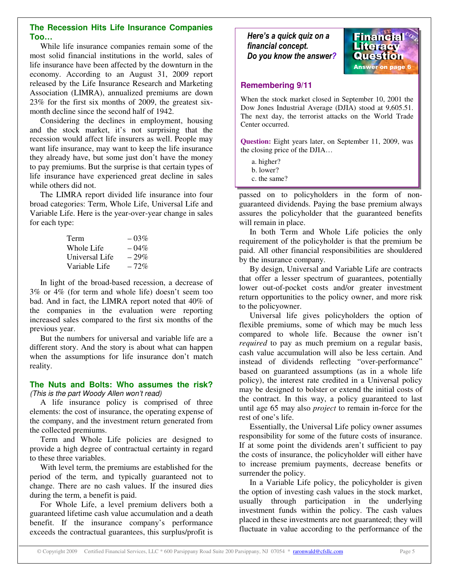#### **The Recession Hits Life Insurance Companies Too…**

While life insurance companies remain some of the most solid financial institutions in the world, sales of life insurance have been affected by the downturn in the economy. According to an August 31, 2009 report released by the Life Insurance Research and Marketing Association (LIMRA), annualized premiums are down 23% for the first six months of 2009, the greatest sixmonth decline since the second half of 1942.

Considering the declines in employment, housing and the stock market, it's not surprising that the recession would affect life insurers as well. People may want life insurance, may want to keep the life insurance they already have, but some just don't have the money to pay premiums. But the surprise is that certain types of life insurance have experienced great decline in sales while others did not.

The LIMRA report divided life insurance into four broad categories: Term, Whole Life, Universal Life and Variable Life. Here is the year-over-year change in sales for each type:

| Term              | $-0.3\%$ |
|-------------------|----------|
| <b>Whole Life</b> | $-04\%$  |
| Universal Life    | $-29%$   |
| Variable Life     | $-72%$   |

In light of the broad-based recession, a decrease of 3% or 4% (for term and whole life) doesn't seem too bad. And in fact, the LIMRA report noted that 40% of the companies in the evaluation were reporting increased sales compared to the first six months of the previous year.

But the numbers for universal and variable life are a different story. And the story is about what can happen when the assumptions for life insurance don't match reality.

# **The Nuts and Bolts: Who assumes the risk?**

*(This is the part Woody Allen won't read)*

A life insurance policy is comprised of three elements: the cost of insurance, the operating expense of the company, and the investment return generated from the collected premiums.

Term and Whole Life policies are designed to provide a high degree of contractual certainty in regard to these three variables.

With level term, the premiums are established for the period of the term, and typically guaranteed not to change. There are no cash values. If the insured dies during the term, a benefit is paid.

For Whole Life, a level premium delivers both a guaranteed lifetime cash value accumulation and a death benefit. If the insurance company's performance exceeds the contractual guarantees, this surplus/profit is Here's a quick quiz on a financial concept. Do you know the answer?



## **Remembering 9/11**

When the stock market closed in September 10, 2001 the Dow Jones Industrial Average (DJIA) stood at 9,605.51. The next day, the terrorist attacks on the World Trade Center occurred.

**Question:** Eight years later, on September 11, 2009, was the closing price of the DJIA…

- a. higher?
- b. lower?
- c. the same?

passed on to policyholders in the form of nonguaranteed dividends. Paying the base premium always assures the policyholder that the guaranteed benefits will remain in place.

In both Term and Whole Life policies the only requirement of the policyholder is that the premium be paid. All other financial responsibilities are shouldered by the insurance company.

By design, Universal and Variable Life are contracts that offer a lesser spectrum of guarantees, potentially lower out-of-pocket costs and/or greater investment return opportunities to the policy owner, and more risk to the policyowner.

Universal life gives policyholders the option of flexible premiums, some of which may be much less compared to whole life. Because the owner isn't *required* to pay as much premium on a regular basis, cash value accumulation will also be less certain. And instead of dividends reflecting "over-performance" based on guaranteed assumptions (as in a whole life policy), the interest rate credited in a Universal policy may be designed to bolster or extend the initial costs of the contract. In this way, a policy guaranteed to last until age 65 may also *project* to remain in-force for the rest of one's life.

Essentially, the Universal Life policy owner assumes responsibility for some of the future costs of insurance. If at some point the dividends aren't sufficient to pay the costs of insurance, the policyholder will either have to increase premium payments, decrease benefits or surrender the policy.

In a Variable Life policy, the policyholder is given the option of investing cash values in the stock market, usually through participation in the underlying investment funds within the policy. The cash values placed in these investments are not guaranteed; they will fluctuate in value according to the performance of the